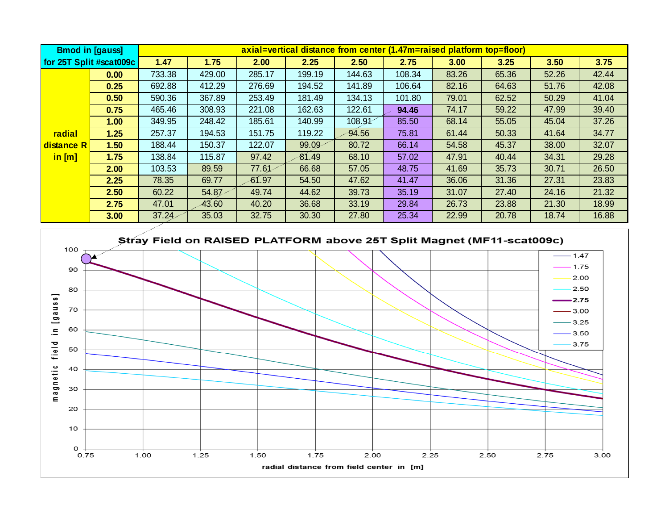| <b>Bmod in [gauss]</b>               |                         | axial=vertical distance from center (1.47m=raised platform top=floor) |          |        |        |        |        |       |       |       |       |
|--------------------------------------|-------------------------|-----------------------------------------------------------------------|----------|--------|--------|--------|--------|-------|-------|-------|-------|
|                                      | for 25T Split #scat009c | 1.47                                                                  | 1.75     | 2.00   | 2.25   | 2.50   | 2.75   | 3.00  | 3.25  | 3.50  | 3.75  |
|                                      | 0.00                    | 733.38                                                                | 429.00   | 285.17 | 199.19 | 144.63 | 108.34 | 83.26 | 65.36 | 52.26 | 42.44 |
|                                      | 0.25                    | 692.88                                                                | 412.29   | 276.69 | 194.52 | 141.89 | 106.64 | 82.16 | 64.63 | 51.76 | 42.08 |
|                                      | 0.50                    | 590.36                                                                | 367.89   | 253.49 | 181.49 | 134.13 | 101.80 | 79.01 | 62.52 | 50.29 | 41.04 |
|                                      | 0.75                    | 465.46                                                                | 308.93   | 221.08 | 162.63 | 122.61 | 94.46  | 74.17 | 59.22 | 47.99 | 39.40 |
|                                      | 1.00                    | 349.95                                                                | 248.42   | 185.61 | 140.99 | 108.91 | 85.50  | 68.14 | 55.05 | 45.04 | 37.26 |
| radial                               | 1.25                    | 257.37                                                                | 194.53   | 151.75 | 119.22 | 94.56  | 75.81  | 61.44 | 50.33 | 41.64 | 34.77 |
| distance R                           | 1.50                    | 188.44                                                                | 150.37   | 122.07 | 99.09  | 80.72  | 66.14  | 54.58 | 45.37 | 38.00 | 32.07 |
| $\mathsf{in}\left[\mathsf{m}\right]$ | 1.75                    | 138.84                                                                | 115.87   | 97.42  | 81.49  | 68.10  | 57.02  | 47.91 | 40.44 | 34.31 | 29.28 |
|                                      | 2.00                    | 103.53                                                                | 89.59    | 77.61  | 66.68  | 57.05  | 48.75  | 41.69 | 35.73 | 30.71 | 26.50 |
|                                      | 2.25                    | 78.35                                                                 | 69.77    | 61.97  | 54.50  | 47.62  | 41.47  | 36.06 | 31.36 | 27.31 | 23.83 |
|                                      | 2.50                    | 60.22                                                                 | 54.87    | 49.74  | 44.62  | 39.73  | 35.19  | 31.07 | 27.40 | 24.16 | 21.32 |
|                                      | 2.75                    | 47.01                                                                 | $-43.60$ | 40.20  | 36.68  | 33.19  | 29.84  | 26.73 | 23.88 | 21.30 | 18.99 |
|                                      | 3.00                    | 37.24                                                                 | 35.03    | 32.75  | 30.30  | 27.80  | 25.34  | 22.99 | 20.78 | 18.74 | 16.88 |